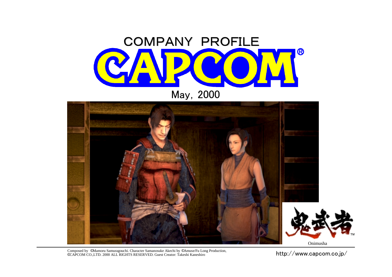



Composed by ©Mamoru Samuragouchi. Character Samanosuke Akechi by ©Amuse/Fu Long Production,<br>©CAPCOM CO.,LTD. 2000 ALL RIGHTS RESERVED. Guest Creator: Takeshi Kaneshiro

http://www.capcom.co.jp/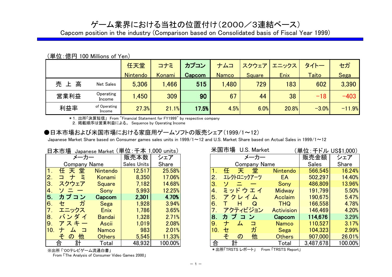# ゲーム業界における当社の位置付け(2000/3連結ベース)

Capcom position in the industry (Comparison based on Consolidated basis of Fiscal Year 1999)

### (単位:億円 100 Millions of Yen)

|             |                        | 任天堂      | コナミ    | カプコン          | ナムコ          | スクウェア         | エニックス | タイトー    | セガ       |
|-------------|------------------------|----------|--------|---------------|--------------|---------------|-------|---------|----------|
|             |                        | Nintendo | Konami | <b>Capcom</b> | <b>Namco</b> | <b>Square</b> | Enix  | Taito   | Sega     |
| 高<br>売<br>ᆂ | <b>Net Sales</b>       | 5,306    | .466   | 515           | .480         | 729           | 183   | 602     | 3,390    |
| 営業利益        | Operating<br>Income    | 1,450    | 309    | 90            | 67           | 44            | 38    | $-18$   | $-403$   |
| 利益率         | of Operating<br>Income | 27.3%    | 21.1%  | 17.5%         | 4.5%         | 6.0%          | 20.8% | $-3.0%$ | $-11.9%$ |

\*1.出所「決算短信」 From "Financial Statement for FY1999" by respective company

2.掲載順序は営業利益による。 Sequence by Operating Income

### ●日本市場および米国市場における家庭用ゲームソフトの販売シェア(1999/1~12)

Japanese Market Share based on Consumer games sales units in 1999/1 $\sim$ 12 and U.S. Market Share based on Actual Sales in 1999/1 $\sim$ 12

|                 | 日本市場 Japanese Market (単位:千本 1,000 units) |               |             |         |                 | 米国市場 | U.S.          |
|-----------------|------------------------------------------|---------------|-------------|---------|-----------------|------|---------------|
|                 | メーカー                                     |               | 販売本数        | シェア     |                 |      | メ             |
|                 | <b>Company Name</b>                      |               | Sales Units | Share   |                 |      | Comp          |
|                 | 任天堂                                      | Nintendo      | 12,517      | 25.58%  |                 | 任    | 天             |
| 2.              | - 5<br>$\mathcal{F}$<br>⊐                | Konami        | 8,350       | 17.06%  | 2.              |      | エレクトロニック      |
| ΙЗ.             | スクウェア                                    | <b>Square</b> | 7,182       | 14.68%  | З.              |      |               |
| 4.              | Æ,                                       | Sony          | 5,993       | 12.25%  | 4.              |      | ミッドウ          |
| 5.              | カプコン                                     | <b>Capcom</b> | 2,301       | 4.70%   | 5.              |      | アクレイ          |
| 6.              | ガ<br>セ                                   | Sega          | 1,928       | 3.94%   | 6.              |      | н             |
| 7 <sub>1</sub>  | エニックス                                    | <b>Enix</b>   | 1,786       | 3.65%   | 7.              |      | アクティビ         |
| 8.              | バンダイ                                     | <b>Bandai</b> | 1,328       | 2.71%   | 8.              |      | ヵ プ コ         |
| <b>9.</b>       | アスキ                                      | Ascii         | 1,019       | 2.08%   | 9.              | ナ    | 厶             |
| 10 <sub>1</sub> | ᠘                                        | <b>Namco</b>  | 983         | 2.01%   | 10 <sub>1</sub> | セ    |               |
|                 | 他<br>そ<br>$\sigma$                       | <b>Others</b> | 5,545       | 11.33%  |                 | そ    | $\mathcal{D}$ |
|                 | 랅<br>合                                   | Total         | 48,932      | 100.00% | 合               |      | 計             |

From 「The Analysis of Consumer Video Games 2000」

|     | 日本市場  Japanese Market (単位:千本 1,000 units)        |               |                    |         |                | 米国市場       |               | U.S. Market         |                   | 〔単位 : 千ドル US\$1,000) |         |
|-----|--------------------------------------------------|---------------|--------------------|---------|----------------|------------|---------------|---------------------|-------------------|----------------------|---------|
|     | メーカー                                             |               | 販売本数               | シェア     |                |            |               | メーカー                |                   | 販売金額                 | シェア     |
|     | <b>Company Name</b>                              |               | <b>Sales Units</b> | Share   |                |            |               | <b>Company Name</b> |                   | <b>Sales</b>         | Share   |
| 1.  | 堂<br>天<br>任                                      | Nintendo      | 12,517             | 25.58%  |                | 任          | 天             | 堂                   | Nintendo          | 566,545              | 16.24%  |
| 2.  | Ξ<br>$\overline{+}$<br>⊐                         | Konami        | 8,350              | 17.06%  | 2.             |            | エレクトロニックアーツ   |                     | EA                | 502,297              | 14.40%  |
| 3.  | スクウェア                                            | <b>Square</b> | 7,182              | 14.68%  | 3.             | <u>\ J</u> |               |                     | Sony              | 486,809              | 13.96%  |
| 4.  |                                                  | Sony          | 5,993              | 12.25%  | 4.             |            | ミッドウェイ        |                     | <b>Midway</b>     | 191.799              | 5.50%   |
| 5.  | カプコン                                             | <b>Capcom</b> | 2,301              | 4.70%   | 5 <sub>1</sub> |            | アクレイム         |                     | <b>Acclaim</b>    | 190.675              | 5.47%   |
| 6.  | ガ<br>セ                                           | Sega          | 1,928              | 3.94%   | 6 <sub>1</sub> |            | H             | Q                   | <b>THQ</b>        | 166.558              | 4.78%   |
|     | エニックス                                            | <b>Enix</b>   | 1,786              | 3.65%   |                |            |               | アクティビジョン            | <b>Activision</b> | 146,469              | 4.20%   |
| 8.  | バンダイ                                             | <b>Bandai</b> | 1,328              | 2.71%   | 8.             |            | カブコン          |                     | Capcom            | 114,676              | 3.29%   |
| 9.  | アスキー                                             | Ascii         | 1,019              | 2.08%   | 9.             | ナ          |               |                     | <b>Namco</b>      | 110.527              | 3.17%   |
| 10. | □                                                | <b>Namco</b>  | 983                | 2.01%   | 10.            | セ          |               | ガ                   | Sega              | 104,323              | 2.99%   |
|     | 他<br>$\ddot{\tau}$<br>$\boldsymbol{\mathcal{D}}$ | <b>Others</b> | 5,545              | 11.33%  |                | そ          | $\mathcal{D}$ | 他                   | <b>Others</b>     | 907,000              | 26.01%  |
|     | 計<br>合                                           | Total         | 48,932             | 100.00% | 合              |            | 計             |                     | Total             | 3,487,678            | 100.00% |

\* 出所「TRSTS レポート」 From 「TRSTS Report」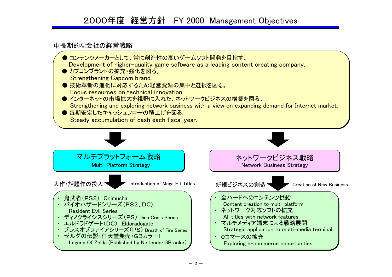### 中長期的な会社の経営戦略

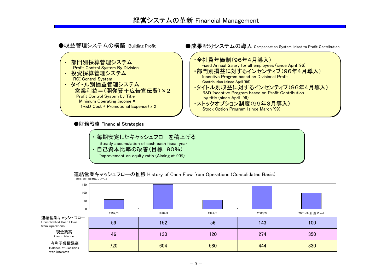





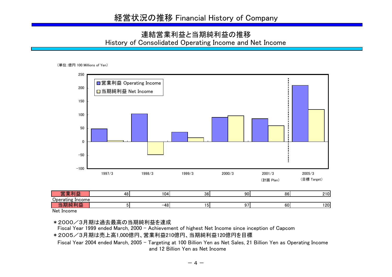## 連結営業利益と当期純利益の推移 History of Consolidated Operating Income and Net Income

### (単位:億円 100 Millions of Yen)



Net Income

\*2000/3月期は過去最高の当期純利益を達成

Fiscal Year 1999 ended March, 2000 - Achievement of highest Net Income since inception of Capcom

\*2005/3月期は売上高1,000億円、営業利益210億円、当期純利益120億円を目標

Fiscal Year 2004 ended March, 2005 - Targeting at 100 Billion Yen as Net Sales, 21 Billion Yen as Operating Income and 12 Billion Yen as Net Income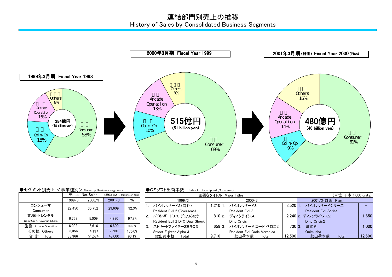## 連結部門別売上の推移 History of Sales by Consolidated Business Segments



|  |  |  | ●セグメント別売上 <事業種別> Sales by Business segme |  |  |  |
|--|--|--|------------------------------------------|--|--|--|
|--|--|--|------------------------------------------|--|--|--|

 $\begin{matrix} \text{SUSY} \\ \text{SUSY} \end{matrix}$   $\begin{matrix} \text{Sales Units} \\ \text{Sables University} \end{matrix}$  (Consumer)

|                         | $- - -$ |               |                          |        |  |  |  |  |  |  |  |  |
|-------------------------|---------|---------------|--------------------------|--------|--|--|--|--|--|--|--|--|
|                         |         | 売 上 Net Sales | (単位:百万円 Millions of Yen) |        |  |  |  |  |  |  |  |  |
|                         | 1999/3  | 2000/3        | 2001/3                   | %      |  |  |  |  |  |  |  |  |
| コンシューマ                  | 22.450  | 35.752        | 29.609                   | 92.3%  |  |  |  |  |  |  |  |  |
| Consumer                |         |               |                          |        |  |  |  |  |  |  |  |  |
| 業務用 レンタル                | 6.768   | 5.009         | 4.230                    | 97.8%  |  |  |  |  |  |  |  |  |
| Coin-Op & Revenue Share |         |               |                          |        |  |  |  |  |  |  |  |  |
| 施設<br>Arcade Operation  | 6.092   | 6.616         | 6.600                    | 99.8%  |  |  |  |  |  |  |  |  |
| その他<br>Others           | 3.056   | 4.197         | 7.560                    | 175.0% |  |  |  |  |  |  |  |  |
| 計<br>合<br>Total         | 38.366  | 51,574        | 48,000                   | 93.1%  |  |  |  |  |  |  |  |  |

| $ \sim$ $ \sim$ $ \sim$ $ \sim$ $ \sim$ $ \sim$ $ \sim$ $ \sim$ $ \sim$ $ \sim$ $ \sim$ $ \sim$ $ \sim$ $ \sim$ $ \sim$ $ \sim$ $ \sim$ $ \sim$ $ \sim$ $ \sim$ $ \sim$ $ \sim$ $ \sim$ $ \sim$ $-$ |        |               |                          |        |     |                                |       |                             |          |                             |        |
|-----------------------------------------------------------------------------------------------------------------------------------------------------------------------------------------------------|--------|---------------|--------------------------|--------|-----|--------------------------------|-------|-----------------------------|----------|-----------------------------|--------|
|                                                                                                                                                                                                     |        | 売 上 Net Sales | (単位:百万円 Millions of Yen) |        |     | 主要なタイトル Major Titles           |       | (単位:千本 1,000 units)         |          |                             |        |
|                                                                                                                                                                                                     | 1999/3 | 2000/3        | 2001/3                   | $\%$   |     | 1999/3                         |       | 2000/3                      |          | 2001/3(計画 Plan)             |        |
| コンシューマ                                                                                                                                                                                              |        |               |                          |        |     | バイオハザード2(海外)                   |       | 1.2101. バイオハザード3            | 3.520 1. | バイオハザードシリーズ                 |        |
| Consumer                                                                                                                                                                                            | 22.450 | 35.752        | 29,609                   | 92.3%  |     | Resident Evil 2 (Overseas)     |       | Resident Evil 3             |          | <b>Resident Evil Series</b> |        |
| 業務用・レンタル                                                                                                                                                                                            | 6.768  | 5.009         | 4.230                    | 97.8%  | 2.  | バイオハザート゛D/C デュアルショック           |       | 8102. ディノクライシス              |          | 2,2402. ディノクライシス2           | .650   |
| Coin-Op & Revenue Share                                                                                                                                                                             |        |               |                          |        |     | Resident Evil 2 D/C Dual Shock |       | Dino Crisis                 |          | Dino Crisis2                |        |
| 施設 Arcade Operation                                                                                                                                                                                 | 6.092  | 6.616         | 6.600                    | 99.8%  | ΙЗ. | ストリートファイターZERO3                |       | 659 3. バイオハザード コード ベロニカ     | 730 3.   | 鬼武者                         | 1.000  |
| その他 Others                                                                                                                                                                                          | 3.056  | 4.197         | 7,560                    | 175.0% |     | Street Fighter Alpha 3         |       | Resident Evil Code Veronica |          | Onimusha                    |        |
| 合 計<br>Total                                                                                                                                                                                        | 38.366 | 51.574        | 48,000                   | 93.1%  |     | 総出荷本数<br>Total                 | 9.710 | 総出荷本数<br>Total              | 12,500   | 総出荷本数<br>Total              | 12,600 |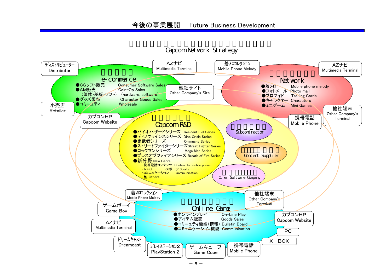今後の事業展開 Future Business Development



Capcom Network Strategy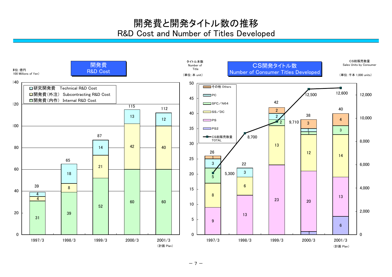開発費と開発タイトル数の推移 R&D Cost and Number of Titles Developed

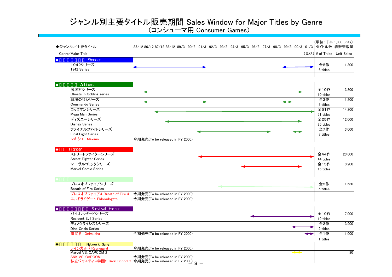# (コンシューマ用 Consumer Games) ジャンル別主要タイトル販売期間 Sales Window for Major Titles by Genre

| ◆ジャンル/主要タイトル                                                                          | 85/12 86/12 87/12 88/12 89/3 90/3 91/3 92/3 93/3 94/3 95/3 96/3 97/3 98/3 99/3 00/3 01/3 タイトル数  総販売数量 |                                                               |                   |
|---------------------------------------------------------------------------------------|-------------------------------------------------------------------------------------------------------|---------------------------------------------------------------|-------------------|
| Genre/Major Title                                                                     |                                                                                                       | $(\overline{\texttt{R}}\,\underline{\texttt{W}})$ # of Titles | <b>Unit Sales</b> |
| Shooter                                                                               |                                                                                                       |                                                               |                   |
| 1942シリーズ                                                                              |                                                                                                       | 全6作                                                           | 1.300             |
| 1942 Series                                                                           |                                                                                                       | 6 titles                                                      |                   |
|                                                                                       |                                                                                                       |                                                               |                   |
| Actions<br>魔界村シリーズ                                                                    |                                                                                                       | 全10作                                                          | 3.800             |
| Ghosts 'n Goblins series                                                              |                                                                                                       | 10 titles                                                     |                   |
| 戦場の狼シリーズ                                                                              |                                                                                                       | 全3作                                                           | 1,200             |
| Commando Series                                                                       |                                                                                                       |                                                               |                   |
| ロックマンシリーズ                                                                             |                                                                                                       | 3 titles<br>全51作                                              | 14.200            |
| Mega Man Series                                                                       |                                                                                                       |                                                               |                   |
| ディズニーシリーズ                                                                             |                                                                                                       | 51 titles<br>全25作                                             | 12,000            |
| <b>Disney Series</b>                                                                  |                                                                                                       |                                                               |                   |
| ファイナルファイトシリーズ                                                                         |                                                                                                       | 25 titles<br>全7作                                              | 3.000             |
| <b>Final Fight Series</b>                                                             |                                                                                                       |                                                               |                   |
| マキシモ Maximo                                                                           | 今期発売(To be released in FY 2000)                                                                       | 7 titles                                                      |                   |
| ストリートファイターシリーズ<br>Street Fighter Series<br>マーヴルコミックシリーズ<br><b>Marvel Comic Series</b> |                                                                                                       | 全44作<br>44 titles<br>全15作<br>15 titles                        | 23.600<br>3.200   |
| ブレスオブファイアシリーズ                                                                         |                                                                                                       | 全5作                                                           | 1,580             |
| <b>Breath of Fire Series</b>                                                          |                                                                                                       | 5 titles                                                      |                   |
| ブレスオブファイア4 Breath of Fire 4<br>エルドラドゲート Eldoradogate                                  | 今期発売(To be released in FY 2000)<br>今期発売(To be released in FY 2000)                                    |                                                               |                   |
|                                                                                       |                                                                                                       | 全19作                                                          | 17.000            |
| Survival Horror                                                                       |                                                                                                       |                                                               |                   |
| バイオハザードシリーズ<br><b>Resident Evil Series</b>                                            |                                                                                                       |                                                               |                   |
|                                                                                       |                                                                                                       | 19 titles                                                     |                   |
| ディノクライシスシリーズ                                                                          |                                                                                                       | 全2作                                                           |                   |
| Dino Crisis Series<br>鬼武者 Onimusha                                                    | 今期発売(To be released in FY 2000)                                                                       | 2 titles<br>全1作                                               |                   |
|                                                                                       |                                                                                                       | 1 titles                                                      |                   |
| Network Came                                                                          |                                                                                                       |                                                               |                   |
| レインガルド Raynegard<br>Marvel VS. CAPCOM 2<br><b>SNK VS. CAPCOM</b>                      | 今期発売(To be released in FY 2000)<br>$\rightarrow$<br>今期発売(To be released in FY 2000)                   |                                                               | 3,900<br>1.000    |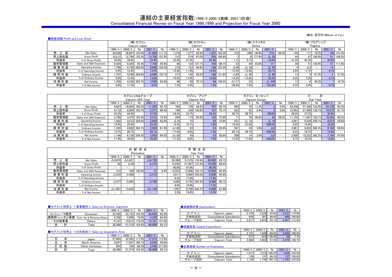(単位:百万円 Millions of Yen)

| ●経営成績 Profit and Loss Sheet |                        |        |        |               |        |               |        |                  |            |        |              |                |             |          |                 |       |          |         |           |         |               |
|-----------------------------|------------------------|--------|--------|---------------|--------|---------------|--------|------------------|------------|--------|--------------|----------------|-------------|----------|-----------------|-------|----------|---------|-----------|---------|---------------|
|                             |                        |        |        | (株)カプコン       |        |               |        |                  | (株)カプトロン   |        |              |                |             | (株)ステイタス |                 |       |          |         | (株)フラグシップ |         |               |
|                             |                        |        |        | Capcom Japan  |        |               |        |                  | Captron    |        |              |                |             | Status   |                 |       | Flagship |         |           |         |               |
|                             |                        | 1999/3 | 2000/3 | $\%$          | 2001/3 | $\frac{0}{0}$ | 1999/3 | 2000/3           | %          | 2001/3 | $\%$         | 1999/3         | 2000/3      | %        | 2001/3          |       | 1999/3   | 2000/3  | %         | 2001/3  | $\frac{0}{0}$ |
|                             | Net Sales              | 30.256 | 36.897 | 122.0%        |        | 41,000 111.1% | 1.374  | .277             | 92.9%      |        | 1.307 102.3% | 319            | 290         | 90.9%    | 274             | 94.5% | 140      |         | 79.2%     |         | 146 131.5%    |
| 売上総利益                       | <b>Gross Profit</b>    | 10.212 |        | 12.784 125.2% |        | 13,700 107.2% | 315    | 274              | 87.0%      |        | 293 106.9%   |                |             | 6 171.9% | $\Delta$ 28     |       |          |         | 47 106.8% | 51      | 108.5%        |
| 利益率                         | % of Gross Profit      | 33.8%  | 34.6%  |               | 33.4%  |               | 22.9%  | 21.5%            |            | 22.4%  |              | 1.1%           | 2.19        |          | $-10.4%$        |       | 31.4%    | 42.3%   |           | 34.9%   |               |
| 販売管理費                       | Sales and G&A Expenses | 8.424  | 8.035  | 95.4%         | 7.700  | 95.8%         | 96     |                  | 122 127.1% | 105    | 86.1%        | 53             |             | 83.0%    | 37              |       |          |         | 51 130.8% |         | 57 111.8%     |
| 営業利益                        | Operating Income       | 1.788  |        | 4.750 265.6%  |        | 6,000 126.3%  | 218    | 153 <sup>1</sup> | 69.8%      |        | 188 123.3%   | $\triangle$ 49 | $\Delta$ 38 |          | $\triangle$ 65  |       |          | ∆3∣     |           | -6      |               |
| 利益率                         | % of Operating Income  | 5.9%   | 12.9%  |               | 14.6%  |               | 15.9%  | 11.9%            |            | 14.4%  |              | $-15.5%$       | $-12.9%$    |          | $-23.7%$        |       | 2.9%     | $-2.7%$ |           | $-4.1%$ |               |
| 経常利益                        | Ordinary Income        | 1.701  |        | 4.590 269.8%  |        | 6.000 130.7%  | 213    | 148              | 69.5%      |        | 180 121.6%   | $\triangle$ 45 | △ 40        |          | $\triangle$ 69  |       |          | 81      | 61.5%     |         | 37.5%         |
| 利益率                         | % of Ordinary Income   | 5.6%   | 12.4%  |               | 14.6%  |               | 15.5%  | 11.6%            |            | 13.8%  |              | $-14.2%$       | $-13.8%$    |          | $-25.2%$        |       | 9.3%     | 7.2%    |           | 2.1%    |               |
| 当期利益                        | Net Income             | 1.395  |        | 4.236 303.7%  | 3.500  | 82.6%         | 98     | 69               | 70.1%      |        | 94 136.2%    | $\Delta$ 117   | 23          |          | $\triangle$ 449 |       |          |         | 46.2%     |         | 16.7%         |
| 利益率                         | % of Net Income        | 4.6%   | 11.5%  |               | 8.5%   |               | 7.2%   | 5.4%             |            | 7.2%   |              | $-36.8%$       | 7.9%        |          | $-163.9%$       |       | 9.3%     | 5.4%    |           | 0.7%    |               |

|       |                        | カプコンUSAグループ |        |                  |        |       |                 |        | カプコン アジア    |        |       | カプコン ヨーロッパ |          |               |                          |       |        |        |              |        |       |
|-------|------------------------|-------------|--------|------------------|--------|-------|-----------------|--------|-------------|--------|-------|------------|----------|---------------|--------------------------|-------|--------|--------|--------------|--------|-------|
|       |                        |             |        |                  |        |       |                 |        |             |        |       |            |          |               |                          |       |        |        |              |        |       |
|       |                        |             |        | Capcom USA Total |        |       |                 |        | Capcom Asia |        |       |            |          | Capcom Europe |                          |       |        |        | Sub Total    |        |       |
|       |                        | 1999/3      | 2000/3 | $\%$             | 2001/3 | %     | 1999/3          | 2000/3 |             | 2001/3 | %     | 1999/3     | 2000/3   | %             | 2001/3                   | $\%$  | 1999/3 | 2000   |              | 2001/3 |       |
|       | Net Sales              | 9.667       |        | 18.003 186.2%    | 1,285  | 62.79 | 784             | 739    | 94.2%       | 707    | 95.7% | 694        | 78       | 1.2%          |                          | 2.6%  | 43.236 | 57.396 | 132.8%       | 54.720 | 95.3% |
| 売上総利益 | <b>Gross Profit</b>    | 4.172       |        | 8.084 193.7%     | 5.371  | 66.4% | 190             | 249    | 130.8%      | 187    | 75.1% | 622        | 52       | 8.4%          |                          | 3.8%  | 15.562 | 21.496 | 138.1%       | 19.575 | 91.1% |
| 利益率   | % of Gross Profit      | 43.2%       | 44.9%  |                  | 47.6%  |       | 24.3%           | 33.7%  |             | 26.4%  |       | 89.7%      | 66.7%    |               | 100.0%                   |       | 36.0%  | 37.5%  |              | 35.8%  |       |
| 販売管理費 | Sales and G&A Expenses | 2.769       |        | 3.472 125.4%     | 2.512  | 72.4% | 264             | 174    | 65.9%       | 132    | 75.9% |            | 70 I     | 98.0%         | <b>20</b>                | 28.6% | 1.720  | 1.967  | 102.1%       | 10.563 | 88.3% |
| 営業利益  | Operating Income       | 1.402       |        | 4.613 329.0%     | 2,858  | 62.0% | $\triangle$ 74  |        |             | 55     | 73.8% | 551        | 181      |               | $\Delta$ 18              |       | 3.841  |        | 9.530 248.1% | 9.012  | 94.6% |
| 利益率   | % of Operating Income  | 14.5%       | 25.6%  |                  | 25.3%  |       | $-9.5%$         | 10.1%  |             | 7.8%   |       | 79.4%      | $-23.6%$ |               | $-900.0%$                |       | 8.9%   | 16.6%  |              | 16.5%  |       |
| 経常利益  | Ordinary Income        | 1.326       |        | 4.802 362.1%     | 2.950  | 61.4% | $\triangle$ 140 | 63     |             | 53     | 83.6% | 591        | 34       | 5.8%          | $\triangle$ 9            |       | 3.661  | 9.605  | 262.4%       | 9.108  | 94.8% |
| 利益率   | % of Ordinary Income   | 13.7%       | 26.7%  |                  | 26.1%  |       | $-17.9%$        | 8.6%   |             | 7.5%   |       | 85.1%      | 44.1%    |               | $-450.0%$                |       | 8.5%   | 16.7%  |              | 16.6%  |       |
| 当期利益  | Net Income             | 1.146       |        | 6.126 534.5%     | 3.950  | 64.5% | $\Delta$ 136    | 59     |             | 53.    | 89.8% | 508        | 14       | 2.8%          | $\triangle$ <sup>9</sup> |       | 2.908  | 10.533 | 362.2%       | 7.140  | 67.8% |
| 利益率   | % of Net Income        | 1.9%        | 34.0%  |                  | 35.0   |       | $-17.3%$        | 8.0%   |             | 7.5%   |       | 73.2%      | 17.9%    |               | $-450.0%$                |       | 6.7%   | 18.4%  |              | 13.0%  |       |

|        |                        |                   | 内               | 消<br>部        | 去              |      |        | 年      | 間<br>合        | 計      |       |
|--------|------------------------|-------------------|-----------------|---------------|----------------|------|--------|--------|---------------|--------|-------|
|        |                        |                   |                 | Elimination   |                |      |        |        | Year Total    |        |       |
|        |                        | 1999/3            | 2000/3          | $\frac{0}{0}$ | 2001/3         | %    | 999/3  | 2000/3 | $\frac{0}{0}$ | 2001/3 | %     |
| 売<br>高 | Net Sales              | $\triangle$ 4.870 | $\Delta$ 5.821  | -             | $\Delta$ 6.720 |      | 38.366 | 51.575 | 134.4%        | 48,000 | 93.1% |
| 売上総利益  | <b>Gross Profit</b>    | 82                | $\triangle$ 29  | -             | $\Delta$ 375   |      | 15.644 | 21.467 | 137.2%        | 19.200 | 89.4% |
| 利益率    | % of Gross Profit      |                   |                 |               |                |      | 40.8%  | 41.6%  |               | 40.0%  |       |
| 販売管理費  | Sales and G&A Expenses | 312               | 439             | 140.6%        | 37             | 8.4% | 12.032 | 12.406 | 103.1%        | 10,600 | 85.4% |
| 営業利益   | Operating Income       | $\triangle$ 229   | $\triangle$ 468 | -             | $\Delta$ 412   |      | 3.611  | 9.062  | 250.9%        | 8.600  | 94.9% |
| 利益率    | % of Operating Income  | -                 | -               |               | -              |      | 9.4%   | 17.6%  |               | 17.9%  |       |
| 経常利益   | Ordinary Income        | $\Delta$ 577      | $\triangle$ 863 | -             | $\Delta$ 708   |      | 3.084  |        | 8.742 283.4%  | 8.400  | 96.1% |
| 利益率    | % of Ordinary Income   | -                 |                 |               | -              |      | 8.0%   | 16.9%  |               | 17.5%  |       |
| 当期利益   | Net Income             | $\triangle$ 1.401 | $\triangle$ 832 | -             | $\Delta$ 1.140 | -    | 1.507  | 9.700  | 643.7%        | 6,000  | 61.9% |
| 利益率    | % of Net Income        |                   |                 |               |                |      | 3.9%   | 18.8%  |               | 12.5%  |       |

#### ●セグメント別売上 <事業種別> Sales by Business segments

|            |                         | 1999/3 | 2000/3 | %             | 2001/3 | %      |
|------------|-------------------------|--------|--------|---------------|--------|--------|
| コンシューマ販売   | Consumer                | 22.450 | 35.752 | 159.3%        | 29.609 | 82.8%  |
| 業務用・レンタル事業 | Coin-Op & Revenue Share | 6.768  | 5.009  | <b>74.0%</b>  | 4.230  | 84.4%  |
| その他事業      | Others                  | 9.147  |        | 10.812 118.2% | 14.161 | 131.0% |
| 計<br>合     | Total                   | 38.366 | 51.574 | 134.4%        | 48,000 | 93.1%  |

### ●セグメント別売上 <仕向地別> Sales by Geographic Area

|               |                |                   | 1999/3 | 2000/3 | %             | 2001/3 | %            |
|---------------|----------------|-------------------|--------|--------|---------------|--------|--------------|
|               |                | Japan             | 27.864 |        | 32.862 117.9% | 37.014 | 112.6%       |
| 北             | 米              | North America     | 9.647  | 17.957 | 186.1%        | 8.938  | 49.8%        |
| チ<br>$\sigma$ | 他              | Other territories | 854    | 754    | 88.3%         |        | 2.048 271.6% |
| 合             | $\overline{a}$ | Total             | 38.366 | 51.574 | 134.4%        | 48,000 | 93.1%        |

#### ●減価償却費 Depreciation

|       |                           | 1999/3 | 2000/3 | %     | 2001/3 | %      |
|-------|---------------------------|--------|--------|-------|--------|--------|
|       | Capcom Japan              | 2.379  | 2.226  | 93.6% | 2.551  | 14.6%  |
| 子会社合計 | Consolidated Subsidiaries | 438    | 397    | 90.6% | 400    | 100.8% |
| л.    | Capcom Total              | 2.817  | 2.623  | 93.1% | 2.95   | 12.5%  |

#### ●設備投資 Capital Expenditure

|       |                           | 1999/3 | 2000/3 | $\%$       | 2001/3 | $\%$  |
|-------|---------------------------|--------|--------|------------|--------|-------|
| カブ    | Capcom Japan              | 2.191  | .949   | 89.0%      | 3.820  | 96.0% |
| 子会社合計 | Consolidated Subsidiaries | 477    |        | 653 136.9% | 50     | 7.7%  |
| 合計    | Capcom Total              | 2.668  | 2.602  | 97.5%      | 3.870  | 48.7% |

#### ●従業員数 Number of Employees

|           |                                  | 1999/3 | 2000/3 | $\%$   | 2001/3 | %      |
|-----------|----------------------------------|--------|--------|--------|--------|--------|
| コン<br>カフ  | Capcom Japan                     | 1.017  | 1.019  | 100.2% | .054   | 103.4% |
| 子会社合計     | <b>Consolidated Subsidiaries</b> | 138    | 137    | 99.3%  | 137    | 100.0% |
| 合計<br>ヴルー | Capcom Total                     | 1.155  | 1.156  | 100.1% | 191    | 103.0% |